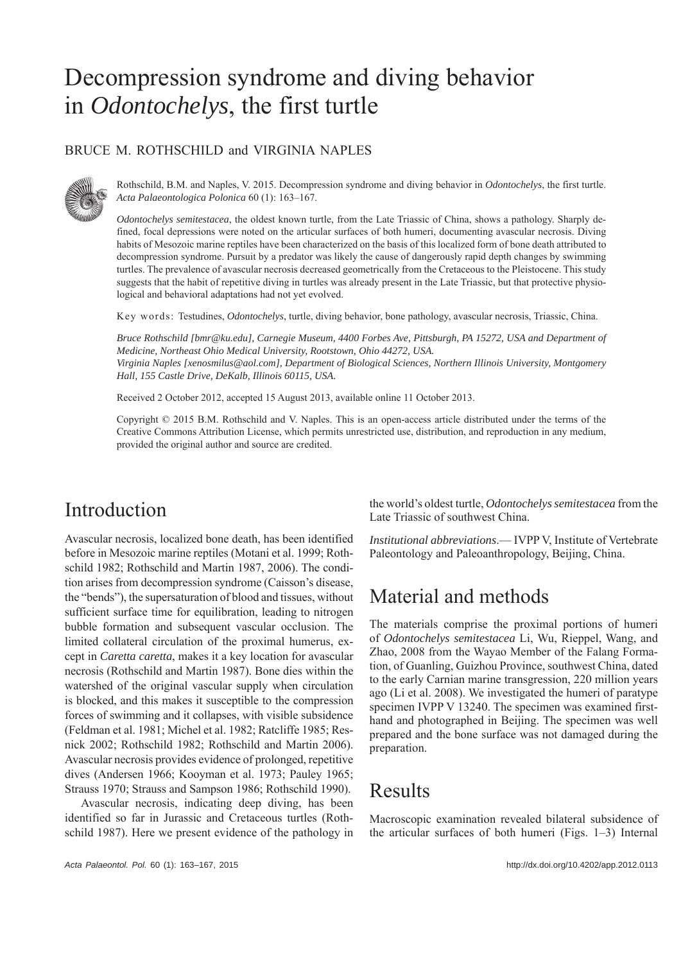# Decompression syndrome and diving behavior in *Odontochelys*, the first turtle

#### BRUCE M. ROTHSCHILD and VIRGINIA NAPLES



Rothschild, B.M. and Naples, V. 2015. Decompression syndrome and diving behavior in *Odontochelys*, the first turtle. *Acta Palaeontologica Polonica* 60 (1): 163–167.

*Odontochelys semitestacea*, the oldest known turtle, from the Late Triassic of China, shows a pathology. Sharply defined, focal depressions were noted on the articular surfaces of both humeri, documenting avascular necrosis. Diving habits of Mesozoic marine reptiles have been characterized on the basis of this localized form of bone death attributed to decompression syndrome. Pursuit by a predator was likely the cause of dangerously rapid depth changes by swimming turtles. The prevalence of avascular necrosis decreased geometrically from the Cretaceous to the Pleistocene. This study suggests that the habit of repetitive diving in turtles was already present in the Late Triassic, but that protective physiological and behavioral adaptations had not yet evolved.

Key words: Testudines, *Odontochelys*, turtle, diving behavior, bone pathology, avascular necrosis, Triassic, China.

*Bruce Rothschild [bmr@ku.edu], Carnegie Museum, 4400 Forbes Ave, Pittsburgh, PA 15272, USA and Department of Medicine, Northeast Ohio Medical University, Rootstown, Ohio 44272, USA. Virginia Naples [xenosmilus@aol.com], Department of Biological Sciences, Northern Illinois University, Montgomery Hall, 155 Castle Drive, DeKalb, Illinois 60115, USA.*

Received 2 October 2012, accepted 15 August 2013, available online 11 October 2013.

Copyright © 2015 B.M. Rothschild and V. Naples. This is an open-access article distributed under the terms of the Creative Commons Attribution License, which permits unrestricted use, distribution, and reproduction in any medium, provided the original author and source are credited.

### Introduction

Avascular necrosis, localized bone death, has been identified before in Mesozoic marine reptiles (Motani et al. 1999; Rothschild 1982; Rothschild and Martin 1987, 2006). The condition arises from decompression syndrome (Caisson's disease, the "bends"), the supersaturation of blood and tissues, without sufficient surface time for equilibration, leading to nitrogen bubble formation and subsequent vascular occlusion. The limited collateral circulation of the proximal humerus, except in *Caretta caretta*, makes it a key location for avascular necrosis (Rothschild and Martin 1987). Bone dies within the watershed of the original vascular supply when circulation is blocked, and this makes it susceptible to the compression forces of swimming and it collapses, with visible subsidence (Feldman et al. 1981; Michel et al. 1982; Ratcliffe 1985; Resnick 2002; Rothschild 1982; Rothschild and Martin 2006). Avascular necrosis provides evidence of prolonged, repetitive dives (Andersen 1966; Kooyman et al. 1973; Pauley 1965; Strauss 1970; Strauss and Sampson 1986; Rothschild 1990).

Avascular necrosis, indicating deep diving, has been identified so far in Jurassic and Cretaceous turtles (Rothschild 1987). Here we present evidence of the pathology in the world's oldest turtle, *Odontochelys semitestacea* from the Late Triassic of southwest China.

*Institutional abbreviations*.— IVPP V, Institute of Vertebrate Paleontology and Paleoanthropology, Beijing, China.

# Material and methods

The materials comprise the proximal portions of humeri of *Odontochelys semitestacea* Li, Wu, Rieppel, Wang, and Zhao, 2008 from the Wayao Member of the Falang Formation, of Guanling, Guizhou Province, southwest China, dated to the early Carnian marine transgression, 220 million years ago (Li et al. 2008). We investigated the humeri of paratype specimen IVPP V 13240. The specimen was examined firsthand and photographed in Beijing. The specimen was well prepared and the bone surface was not damaged during the preparation.

# Results

Macroscopic examination revealed bilateral subsidence of the articular surfaces of both humeri (Figs. 1–3) Internal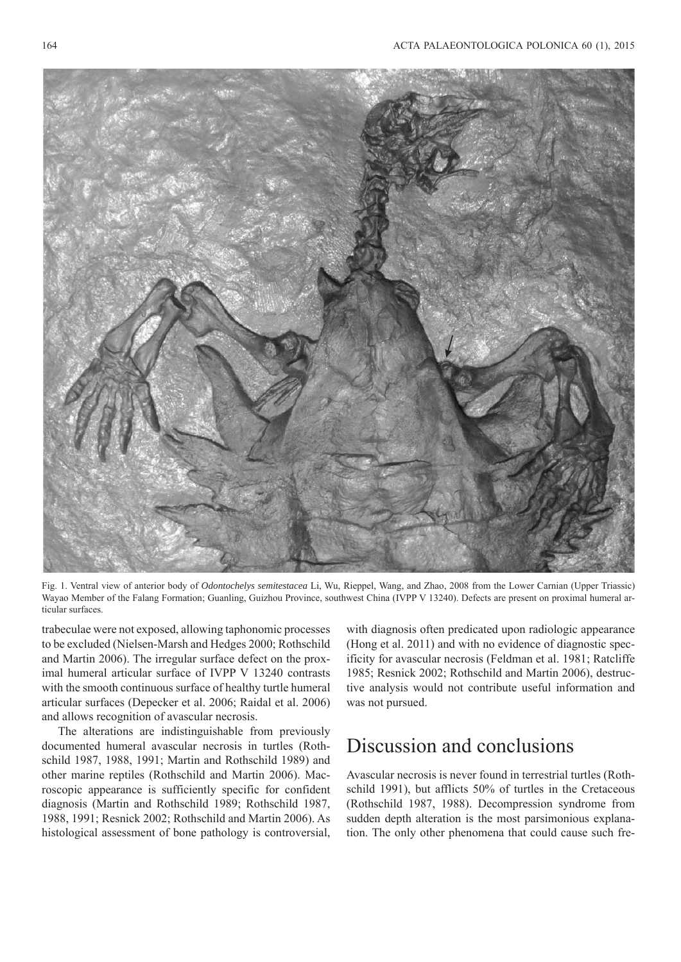

Fig. 1. Ventral view of anterior body of *Odontochelys semitestacea* Li, Wu, Rieppel, Wang, and Zhao, 2008 from the Lower Carnian (Upper Triassic) Wayao Member of the Falang Formation; Guanling, Guizhou Province, southwest China (IVPP V 13240). Defects are present on proximal humeral articular surfaces.

trabeculae were not exposed, allowing taphonomic processes to be excluded (Nielsen-Marsh and Hedges 2000; Rothschild and Martin 2006). The irregular surface defect on the proximal humeral articular surface of IVPP V 13240 contrasts with the smooth continuous surface of healthy turtle humeral articular surfaces (Depecker et al. 2006; Raidal et al. 2006) and allows recognition of avascular necrosis.

The alterations are indistinguishable from previously documented humeral avascular necrosis in turtles (Rothschild 1987, 1988, 1991; Martin and Rothschild 1989) and other marine reptiles (Rothschild and Martin 2006). Macroscopic appearance is sufficiently specific for confident diagnosis (Martin and Rothschild 1989; Rothschild 1987, 1988, 1991; Resnick 2002; Rothschild and Martin 2006). As histological assessment of bone pathology is controversial,

with diagnosis often predicated upon radiologic appearance (Hong et al. 2011) and with no evidence of diagnostic specificity for avascular necrosis (Feldman et al. 1981; Ratcliffe 1985; Resnick 2002; Rothschild and Martin 2006), destructive analysis would not contribute useful information and was not pursued.

### Discussion and conclusions

Avascular necrosis is never found in terrestrial turtles (Rothschild 1991), but afflicts 50% of turtles in the Cretaceous (Rothschild 1987, 1988). Decompression syndrome from sudden depth alteration is the most parsimonious explanation. The only other phenomena that could cause such fre-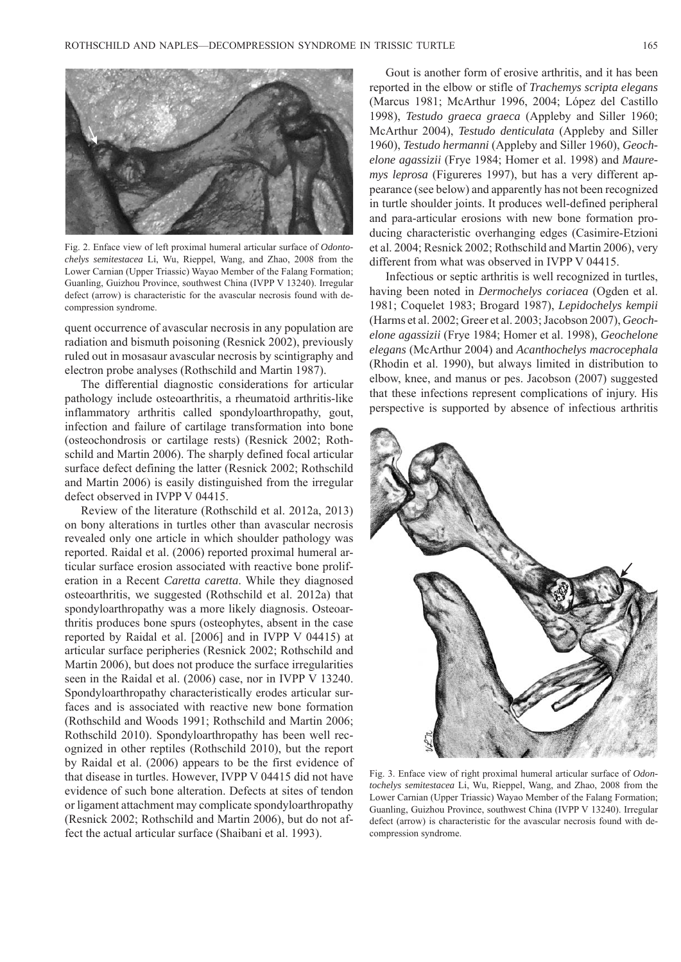

Fig. 2. Enface view of left proximal humeral articular surface of *Odontochelys semitestacea* Li, Wu, Rieppel, Wang, and Zhao, 2008 from the Lower Carnian (Upper Triassic) Wayao Member of the Falang Formation; Guanling, Guizhou Province, southwest China (IVPP V 13240). Irregular defect (arrow) is characteristic for the avascular necrosis found with decompression syndrome.

quent occurrence of avascular necrosis in any population are radiation and bismuth poisoning (Resnick 2002), previously ruled out in mosasaur avascular necrosis by scintigraphy and electron probe analyses (Rothschild and Martin 1987).

The differential diagnostic considerations for articular pathology include osteoarthritis, a rheumatoid arthritis-like inflammatory arthritis called spondyloarthropathy, gout, infection and failure of cartilage transformation into bone (osteochondrosis or cartilage rests) (Resnick 2002; Rothschild and Martin 2006). The sharply defined focal articular surface defect defining the latter (Resnick 2002; Rothschild and Martin 2006) is easily distinguished from the irregular defect observed in IVPP V 04415.

Review of the literature (Rothschild et al. 2012a, 2013) on bony alterations in turtles other than avascular necrosis revealed only one article in which shoulder pathology was reported. Raidal et al. (2006) reported proximal humeral articular surface erosion associated with reactive bone proliferation in a Recent *Caretta caretta*. While they diagnosed osteoarthritis, we suggested (Rothschild et al. 2012a) that spondyloarthropathy was a more likely diagnosis. Osteoarthritis produces bone spurs (osteophytes, absent in the case reported by Raidal et al. [2006] and in IVPP V 04415) at articular surface peripheries (Resnick 2002; Rothschild and Martin 2006), but does not produce the surface irregularities seen in the Raidal et al. (2006) case, nor in IVPP V 13240. Spondyloarthropathy characteristically erodes articular surfaces and is associated with reactive new bone formation (Rothschild and Woods 1991; Rothschild and Martin 2006; Rothschild 2010). Spondyloarthropathy has been well recognized in other reptiles (Rothschild 2010), but the report by Raidal et al. (2006) appears to be the first evidence of that disease in turtles. However, IVPP V 04415 did not have evidence of such bone alteration. Defects at sites of tendon or ligament attachment may complicate spondyloarthropathy (Resnick 2002; Rothschild and Martin 2006), but do not affect the actual articular surface (Shaibani et al. 1993).

Gout is another form of erosive arthritis, and it has been reported in the elbow or stifle of *Trachemys scripta elegans* (Marcus 1981; McArthur 1996, 2004; López del Castillo 1998), *Testudo graeca graeca* (Appleby and Siller 1960; McArthur 2004), *Testudo denticulata* (Appleby and Siller 1960), *Testudo hermanni* (Appleby and Siller 1960), *Geochelone agassizii* (Frye 1984; Homer et al. 1998) and *Mauremys leprosa* (Figureres 1997), but has a very different appearance (see below) and apparently has not been recognized in turtle shoulder joints. It produces well-defined peripheral and para-articular erosions with new bone formation producing characteristic overhanging edges (Casimire-Etzioni et al. 2004; Resnick 2002; Rothschild and Martin 2006), very different from what was observed in IVPP V 04415.

Infectious or septic arthritis is well recognized in turtles, having been noted in *Dermochelys coriacea* (Ogden et al. 1981; Coquelet 1983; Brogard 1987), *Lepidochelys kempii*  (Harms et al. 2002; Greer et al. 2003; Jacobson 2007), *Geochelone agassizii* (Frye 1984; Homer et al. 1998), *Geochelone elegans* (McArthur 2004) and *Acanthochelys macrocephala*  (Rhodin et al. 1990), but always limited in distribution to elbow, knee, and manus or pes. Jacobson (2007) suggested that these infections represent complications of injury. His perspective is supported by absence of infectious arthritis



Fig. 3. Enface view of right proximal humeral articular surface of *Odontochelys semitestacea* Li, Wu, Rieppel, Wang, and Zhao, 2008 from the Lower Carnian (Upper Triassic) Wayao Member of the Falang Formation; Guanling, Guizhou Province, southwest China (IVPP V 13240). Irregular defect (arrow) is characteristic for the avascular necrosis found with decompression syndrome.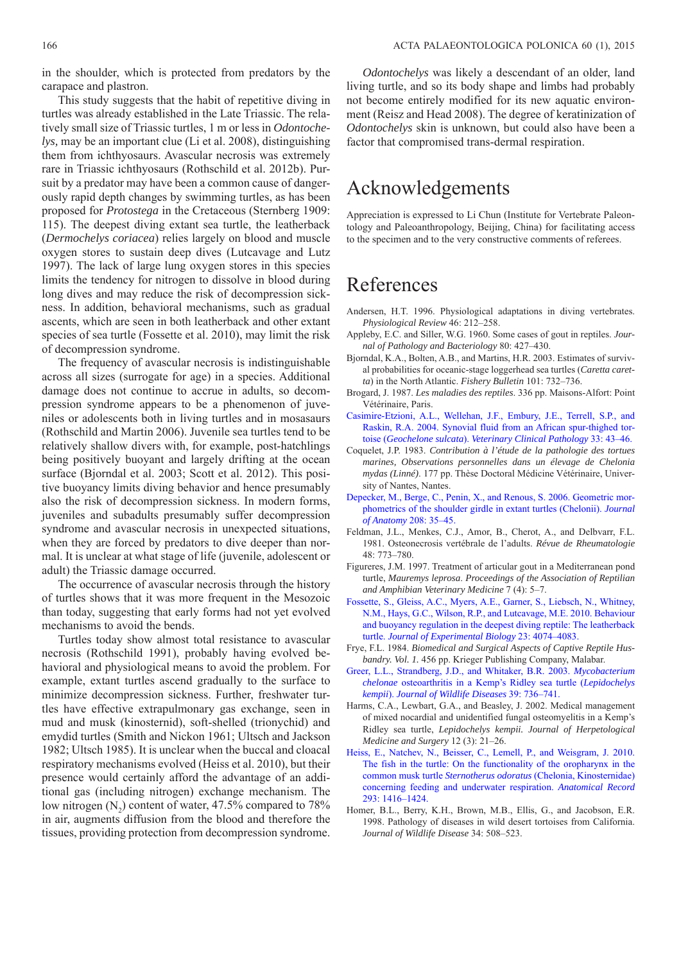in the shoulder, which is protected from predators by the carapace and plastron.

This study suggests that the habit of repetitive diving in turtles was already established in the Late Triassic. The relatively small size of Triassic turtles, 1 m or less in *Odontochelys,* may be an important clue (Li et al. 2008), distinguishing them from ichthyosaurs. Avascular necrosis was extremely rare in Triassic ichthyosaurs (Rothschild et al. 2012b). Pursuit by a predator may have been a common cause of dangerously rapid depth changes by swimming turtles, as has been proposed for *Protostega* in the Cretaceous (Sternberg 1909: 115). The deepest diving extant sea turtle, the leatherback (*Dermochelys coriacea*) relies largely on blood and muscle oxygen stores to sustain deep dives (Lutcavage and Lutz 1997). The lack of large lung oxygen stores in this species limits the tendency for nitrogen to dissolve in blood during long dives and may reduce the risk of decompression sickness. In addition, behavioral mechanisms, such as gradual ascents, which are seen in both leatherback and other extant species of sea turtle (Fossette et al. 2010), may limit the risk of decompression syndrome.

The frequency of avascular necrosis is indistinguishable across all sizes (surrogate for age) in a species. Additional damage does not continue to accrue in adults, so decompression syndrome appears to be a phenomenon of juveniles or adolescents both in living turtles and in mosasaurs (Rothschild and Martin 2006). Juvenile sea turtles tend to be relatively shallow divers with, for example, post-hatchlings being positively buoyant and largely drifting at the ocean surface (Bjorndal et al. 2003; Scott et al. 2012). This positive buoyancy limits diving behavior and hence presumably also the risk of decompression sickness. In modern forms, juveniles and subadults presumably suffer decompression syndrome and avascular necrosis in unexpected situations, when they are forced by predators to dive deeper than normal. It is unclear at what stage of life (juvenile, adolescent or adult) the Triassic damage occurred.

The occurrence of avascular necrosis through the history of turtles shows that it was more frequent in the Mesozoic than today, suggesting that early forms had not yet evolved mechanisms to avoid the bends.

Turtles today show almost total resistance to avascular necrosis (Rothschild 1991), probably having evolved behavioral and physiological means to avoid the problem. For example, extant turtles ascend gradually to the surface to minimize decompression sickness. Further, freshwater turtles have effective extrapulmonary gas exchange, seen in mud and musk (kinosternid), soft-shelled (trionychid) and emydid turtles (Smith and Nickon 1961; Ultsch and Jackson 1982; Ultsch 1985). It is unclear when the buccal and cloacal respiratory mechanisms evolved (Heiss et al. 2010), but their presence would certainly afford the advantage of an additional gas (including nitrogen) exchange mechanism. The low nitrogen  $(N_2)$  content of water, 47.5% compared to 78% in air, augments diffusion from the blood and therefore the tissues, providing protection from decompression syndrome.

*Odontochelys* was likely a descendant of an older, land living turtle, and so its body shape and limbs had probably not become entirely modified for its new aquatic environment (Reisz and Head 2008). The degree of keratinization of *Odontochelys* skin is unknown, but could also have been a factor that compromised trans-dermal respiration.

#### Acknowledgements

Appreciation is expressed to Li Chun (Institute for Vertebrate Paleontology and Paleoanthropology, Beijing, China) for facilitating access to the specimen and to the very constructive comments of referees.

#### References

- Andersen, H.T. 1996. Physiological adaptations in diving vertebrates. *Physiological Review* 46: 212–258.
- Appleby, E.C. and Siller, W.G. 1960. Some cases of gout in reptiles. *Journal of Pathology and Bacteriology* 80: 427–430.
- Bjorndal, K.A., Bolten, A.B., and Martins, H.R. 2003. Estimates of survival probabilities for oceanic-stage loggerhead sea turtles (*Caretta caretta*) in the North Atlantic. *Fishery Bulletin* 101: 732–736.
- Brogard, J. 1987. *Les maladies des reptiles*. 336 pp. Maisons-Alfort: Point Vétérinaire, Paris.
- [Casimire-Etzioni, A.L., Wellehan, J.F., Embury, J.E., Terrell, S.P., and](http://dx.doi.org/10.1111/j.1939-165X.2004.tb00349.x) Raskin, R.A. 2004. Synovial fluid from an African spur-thighed tortoise (*Geochelone sulcata*). *Veterinary Clinical Pathology* 33: 43–46.
- Coquelet, J.P. 1983. *Contribution à l'étude de la pathologie des tortues marines, Observations personnelles dans un élevage de Chelonia mydas (Linné)*. 177 pp. Thèse Doctoral Médicine Vétérinaire, University of Nantes, Nantes.
- [Depecker, M., Berge, C., Penin, X., and Renous, S. 2006. Geometric mor](http://dx.doi.org/10.1111/j.1469-7580.2006.00512.x)phometrics of the shoulder girdle in extant turtles (Chelonii). *Journal of Anatomy* 208: 35–45.
- Feldman, J.L., Menkes, C.J., Amor, B., Cherot, A., and Delbvarr, F.L. 1981. Osteonecrosis vertébrale de l'adults. *Révue de Rheumatologie* 48: 773–780.
- Figureres, J.M. 1997. Treatment of articular gout in a Mediterranean pond turtle, *Mauremys leprosa*. *Proceedings of the Association of Reptilian and Amphibian Veterinary Medicine* 7 (4): 5–7.
- [Fossette, S., Gleiss, A.C., Myers, A.E., Garner, S., Liebsch, N., Whitney,](http://dx.doi.org/10.1242/jeb.048207) N.M., Hays, G.C., Wilson, R.P., and Lutcavage, M.E. 2010. Behaviour and buoyancy regulation in the deepest diving reptile: The leatherback turtle. *Journal of Experimental Biology* 23: 4074–4083.
- Frye, F.L. 1984. *Biomedical and Surgical Aspects of Captive Reptile Husbandry. Vol. 1.* 456 pp. Krieger Publishing Company, Malabar.
- [Greer, L.L., Strandberg, J.D., and Whitaker, B.R. 2003.](http://dx.doi.org/10.7589/0090-3558-39.3.736) *Mycobacterium chelonae* osteoarthritis in a Kemp's Ridley sea turtle (*Lepidochelys kempii*). *Journal of Wildlife Diseases* 39: 736–741.
- Harms, C.A., Lewbart, G.A., and Beasley, J. 2002. Medical management of mixed nocardial and unidentified fungal osteomyelitis in a Kemp's Ridley sea turtle, *Lepidochelys kempii. Journal of Herpetological Medicine and Surgery* 12 (3): 21–26.
- [Heiss, E., Natchev, N., Beisser, C., Lemell, P., and Weisgram, J. 2010.](http://dx.doi.org/10.1002/ar.21185) The fish in the turtle: On the functionality of the oropharynx in the common musk turtle *Sternotherus odoratus* (Chelonia, Kinosternidae) concerning feeding and underwater respiration. *Anatomical Record* 293: 1416–1424.
- Homer, B.L., Berry, K.H., Brown, M.B., Ellis, G., and Jacobson, E.R. 1998. Pathology of diseases in wild desert tortoises from California. *Journal of Wildlife Disease* 34: 508–523.